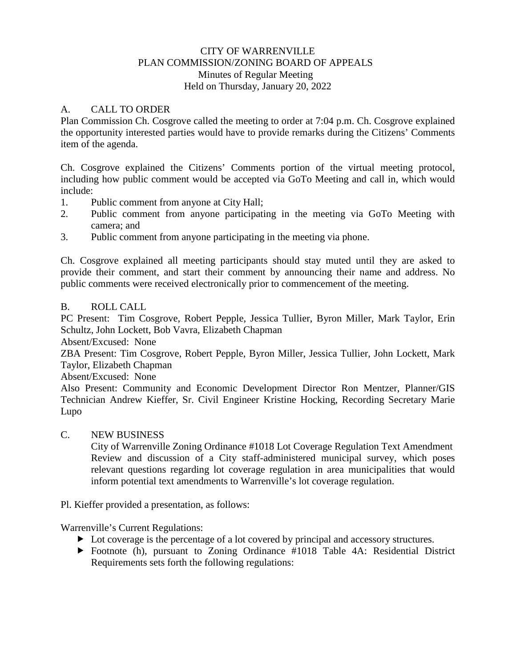### CITY OF WARRENVILLE PLAN COMMISSION/ZONING BOARD OF APPEALS Minutes of Regular Meeting Held on Thursday, January 20, 2022

#### A. CALL TO ORDER

Plan Commission Ch. Cosgrove called the meeting to order at 7:04 p.m. Ch. Cosgrove explained the opportunity interested parties would have to provide remarks during the Citizens' Comments item of the agenda.

Ch. Cosgrove explained the Citizens' Comments portion of the virtual meeting protocol, including how public comment would be accepted via GoTo Meeting and call in, which would include:

- 1. Public comment from anyone at City Hall;
- 2. Public comment from anyone participating in the meeting via GoTo Meeting with camera; and
- 3. Public comment from anyone participating in the meeting via phone.

Ch. Cosgrove explained all meeting participants should stay muted until they are asked to provide their comment, and start their comment by announcing their name and address. No public comments were received electronically prior to commencement of the meeting.

#### B. ROLL CALL

PC Present: Tim Cosgrove, Robert Pepple, Jessica Tullier, Byron Miller, Mark Taylor, Erin Schultz, John Lockett, Bob Vavra, Elizabeth Chapman

Absent/Excused: None

ZBA Present: Tim Cosgrove, Robert Pepple, Byron Miller, Jessica Tullier, John Lockett, Mark Taylor, Elizabeth Chapman

Absent/Excused: None

Also Present: Community and Economic Development Director Ron Mentzer, Planner/GIS Technician Andrew Kieffer, Sr. Civil Engineer Kristine Hocking, Recording Secretary Marie Lupo

#### C. NEW BUSINESS

City of Warrenville Zoning Ordinance #1018 Lot Coverage Regulation Text Amendment Review and discussion of a City staff-administered municipal survey, which poses relevant questions regarding lot coverage regulation in area municipalities that would inform potential text amendments to Warrenville's lot coverage regulation.

Pl. Kieffer provided a presentation, as follows:

Warrenville's Current Regulations:

- $\triangleright$  Lot coverage is the percentage of a lot covered by principal and accessory structures.
- Footnote (h), pursuant to Zoning Ordinance #1018 Table 4A: Residential District Requirements sets forth the following regulations: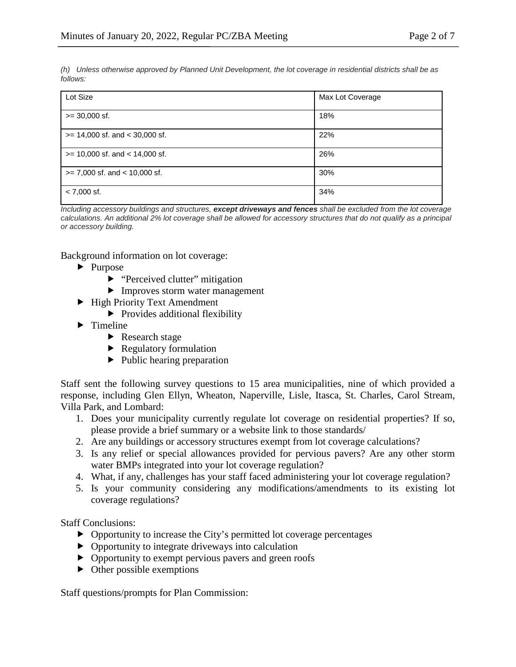*(h) Unless otherwise approved by Planned Unit Development, the lot coverage in residential districts shall be as follows:*

| Lot Size                           | Max Lot Coverage |
|------------------------------------|------------------|
| $>= 30,000$ sf.                    | 18%              |
| $>= 14,000$ sf. and $< 30,000$ sf. | 22%              |
| $>= 10,000$ sf. and $< 14,000$ sf. | 26%              |
| $>= 7,000$ sf. and $< 10,000$ sf.  | 30%              |
| $< 7,000$ sf.                      | 34%              |

*Including accessory buildings and structures, except driveways and fences shall be excluded from the lot coverage calculations. An additional 2% lot coverage shall be allowed for accessory structures that do not qualify as a principal or accessory building.*

Background information on lot coverage:

- $\blacktriangleright$  Purpose
	- $\blacktriangleright$  "Perceived clutter" mitigation
	- Improves storm water management
- ▶ High Priority Text Amendment
	- $\triangleright$  Provides additional flexibility
- $\blacktriangleright$  Timeline
	- Research stage
	- $\blacktriangleright$  Regulatory formulation
	- $\blacktriangleright$  Public hearing preparation

Staff sent the following survey questions to 15 area municipalities, nine of which provided a response, including Glen Ellyn, Wheaton, Naperville, Lisle, Itasca, St. Charles, Carol Stream, Villa Park, and Lombard:

- 1. Does your municipality currently regulate lot coverage on residential properties? If so, please provide a brief summary or a website link to those standards/
- 2. Are any buildings or accessory structures exempt from lot coverage calculations?
- 3. Is any relief or special allowances provided for pervious pavers? Are any other storm water BMPs integrated into your lot coverage regulation?
- 4. What, if any, challenges has your staff faced administering your lot coverage regulation?
- 5. Is your community considering any modifications/amendments to its existing lot coverage regulations?

Staff Conclusions:

- $\triangleright$  Opportunity to increase the City's permitted lot coverage percentages
- Opportunity to integrate driveways into calculation
- Opportunity to exempt pervious pavers and green roofs
- $\triangleright$  Other possible exemptions

Staff questions/prompts for Plan Commission: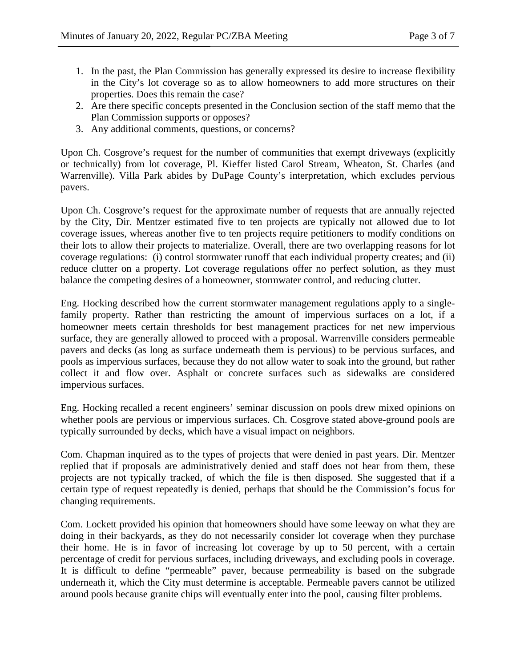- 1. In the past, the Plan Commission has generally expressed its desire to increase flexibility in the City's lot coverage so as to allow homeowners to add more structures on their properties. Does this remain the case?
- 2. Are there specific concepts presented in the Conclusion section of the staff memo that the Plan Commission supports or opposes?
- 3. Any additional comments, questions, or concerns?

Upon Ch. Cosgrove's request for the number of communities that exempt driveways (explicitly or technically) from lot coverage, Pl. Kieffer listed Carol Stream, Wheaton, St. Charles (and Warrenville). Villa Park abides by DuPage County's interpretation, which excludes pervious pavers.

Upon Ch. Cosgrove's request for the approximate number of requests that are annually rejected by the City, Dir. Mentzer estimated five to ten projects are typically not allowed due to lot coverage issues, whereas another five to ten projects require petitioners to modify conditions on their lots to allow their projects to materialize. Overall, there are two overlapping reasons for lot coverage regulations: (i) control stormwater runoff that each individual property creates; and (ii) reduce clutter on a property. Lot coverage regulations offer no perfect solution, as they must balance the competing desires of a homeowner, stormwater control, and reducing clutter.

Eng. Hocking described how the current stormwater management regulations apply to a singlefamily property. Rather than restricting the amount of impervious surfaces on a lot, if a homeowner meets certain thresholds for best management practices for net new impervious surface, they are generally allowed to proceed with a proposal. Warrenville considers permeable pavers and decks (as long as surface underneath them is pervious) to be pervious surfaces, and pools as impervious surfaces, because they do not allow water to soak into the ground, but rather collect it and flow over. Asphalt or concrete surfaces such as sidewalks are considered impervious surfaces.

Eng. Hocking recalled a recent engineers' seminar discussion on pools drew mixed opinions on whether pools are pervious or impervious surfaces. Ch. Cosgrove stated above-ground pools are typically surrounded by decks, which have a visual impact on neighbors.

Com. Chapman inquired as to the types of projects that were denied in past years. Dir. Mentzer replied that if proposals are administratively denied and staff does not hear from them, these projects are not typically tracked, of which the file is then disposed. She suggested that if a certain type of request repeatedly is denied, perhaps that should be the Commission's focus for changing requirements.

Com. Lockett provided his opinion that homeowners should have some leeway on what they are doing in their backyards, as they do not necessarily consider lot coverage when they purchase their home. He is in favor of increasing lot coverage by up to 50 percent, with a certain percentage of credit for pervious surfaces, including driveways, and excluding pools in coverage. It is difficult to define "permeable" paver, because permeability is based on the subgrade underneath it, which the City must determine is acceptable. Permeable pavers cannot be utilized around pools because granite chips will eventually enter into the pool, causing filter problems.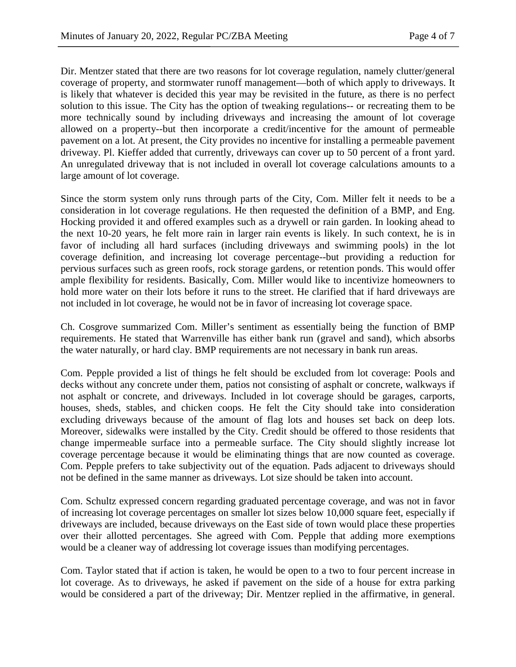Dir. Mentzer stated that there are two reasons for lot coverage regulation, namely clutter/general coverage of property, and stormwater runoff management—both of which apply to driveways. It is likely that whatever is decided this year may be revisited in the future, as there is no perfect solution to this issue. The City has the option of tweaking regulations-- or recreating them to be more technically sound by including driveways and increasing the amount of lot coverage allowed on a property--but then incorporate a credit/incentive for the amount of permeable pavement on a lot. At present, the City provides no incentive for installing a permeable pavement driveway. Pl. Kieffer added that currently, driveways can cover up to 50 percent of a front yard. An unregulated driveway that is not included in overall lot coverage calculations amounts to a large amount of lot coverage.

Since the storm system only runs through parts of the City, Com. Miller felt it needs to be a consideration in lot coverage regulations. He then requested the definition of a BMP, and Eng. Hocking provided it and offered examples such as a drywell or rain garden. In looking ahead to the next 10-20 years, he felt more rain in larger rain events is likely. In such context, he is in favor of including all hard surfaces (including driveways and swimming pools) in the lot coverage definition, and increasing lot coverage percentage--but providing a reduction for pervious surfaces such as green roofs, rock storage gardens, or retention ponds. This would offer ample flexibility for residents. Basically, Com. Miller would like to incentivize homeowners to hold more water on their lots before it runs to the street. He clarified that if hard driveways are not included in lot coverage, he would not be in favor of increasing lot coverage space.

Ch. Cosgrove summarized Com. Miller's sentiment as essentially being the function of BMP requirements. He stated that Warrenville has either bank run (gravel and sand), which absorbs the water naturally, or hard clay. BMP requirements are not necessary in bank run areas.

Com. Pepple provided a list of things he felt should be excluded from lot coverage: Pools and decks without any concrete under them, patios not consisting of asphalt or concrete, walkways if not asphalt or concrete, and driveways. Included in lot coverage should be garages, carports, houses, sheds, stables, and chicken coops. He felt the City should take into consideration excluding driveways because of the amount of flag lots and houses set back on deep lots. Moreover, sidewalks were installed by the City. Credit should be offered to those residents that change impermeable surface into a permeable surface. The City should slightly increase lot coverage percentage because it would be eliminating things that are now counted as coverage. Com. Pepple prefers to take subjectivity out of the equation. Pads adjacent to driveways should not be defined in the same manner as driveways. Lot size should be taken into account.

Com. Schultz expressed concern regarding graduated percentage coverage, and was not in favor of increasing lot coverage percentages on smaller lot sizes below 10,000 square feet, especially if driveways are included, because driveways on the East side of town would place these properties over their allotted percentages. She agreed with Com. Pepple that adding more exemptions would be a cleaner way of addressing lot coverage issues than modifying percentages.

Com. Taylor stated that if action is taken, he would be open to a two to four percent increase in lot coverage. As to driveways, he asked if pavement on the side of a house for extra parking would be considered a part of the driveway; Dir. Mentzer replied in the affirmative, in general.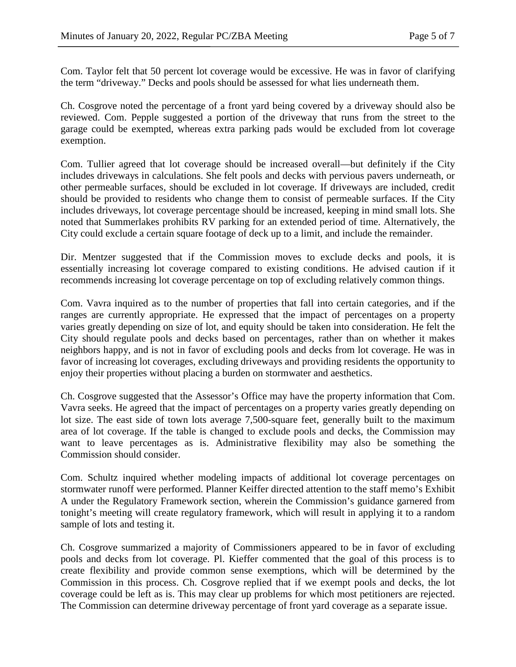Com. Taylor felt that 50 percent lot coverage would be excessive. He was in favor of clarifying the term "driveway." Decks and pools should be assessed for what lies underneath them.

Ch. Cosgrove noted the percentage of a front yard being covered by a driveway should also be reviewed. Com. Pepple suggested a portion of the driveway that runs from the street to the garage could be exempted, whereas extra parking pads would be excluded from lot coverage exemption.

Com. Tullier agreed that lot coverage should be increased overall—but definitely if the City includes driveways in calculations. She felt pools and decks with pervious pavers underneath, or other permeable surfaces, should be excluded in lot coverage. If driveways are included, credit should be provided to residents who change them to consist of permeable surfaces. If the City includes driveways, lot coverage percentage should be increased, keeping in mind small lots. She noted that Summerlakes prohibits RV parking for an extended period of time. Alternatively, the City could exclude a certain square footage of deck up to a limit, and include the remainder.

Dir. Mentzer suggested that if the Commission moves to exclude decks and pools, it is essentially increasing lot coverage compared to existing conditions. He advised caution if it recommends increasing lot coverage percentage on top of excluding relatively common things.

Com. Vavra inquired as to the number of properties that fall into certain categories, and if the ranges are currently appropriate. He expressed that the impact of percentages on a property varies greatly depending on size of lot, and equity should be taken into consideration. He felt the City should regulate pools and decks based on percentages, rather than on whether it makes neighbors happy, and is not in favor of excluding pools and decks from lot coverage. He was in favor of increasing lot coverages, excluding driveways and providing residents the opportunity to enjoy their properties without placing a burden on stormwater and aesthetics.

Ch. Cosgrove suggested that the Assessor's Office may have the property information that Com. Vavra seeks. He agreed that the impact of percentages on a property varies greatly depending on lot size. The east side of town lots average 7,500-square feet, generally built to the maximum area of lot coverage. If the table is changed to exclude pools and decks, the Commission may want to leave percentages as is. Administrative flexibility may also be something the Commission should consider.

Com. Schultz inquired whether modeling impacts of additional lot coverage percentages on stormwater runoff were performed. Planner Keiffer directed attention to the staff memo's Exhibit A under the Regulatory Framework section, wherein the Commission's guidance garnered from tonight's meeting will create regulatory framework, which will result in applying it to a random sample of lots and testing it.

Ch. Cosgrove summarized a majority of Commissioners appeared to be in favor of excluding pools and decks from lot coverage. Pl. Kieffer commented that the goal of this process is to create flexibility and provide common sense exemptions, which will be determined by the Commission in this process. Ch. Cosgrove replied that if we exempt pools and decks, the lot coverage could be left as is. This may clear up problems for which most petitioners are rejected. The Commission can determine driveway percentage of front yard coverage as a separate issue.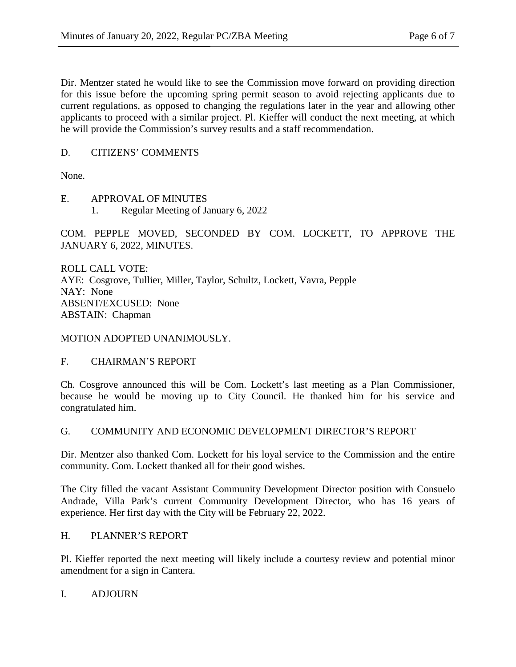Dir. Mentzer stated he would like to see the Commission move forward on providing direction for this issue before the upcoming spring permit season to avoid rejecting applicants due to current regulations, as opposed to changing the regulations later in the year and allowing other applicants to proceed with a similar project. Pl. Kieffer will conduct the next meeting, at which he will provide the Commission's survey results and a staff recommendation.

# D. CITIZENS' COMMENTS

None.

E. APPROVAL OF MINUTES

1. Regular Meeting of January 6, 2022

COM. PEPPLE MOVED, SECONDED BY COM. LOCKETT, TO APPROVE THE JANUARY 6, 2022, MINUTES.

ROLL CALL VOTE: AYE: Cosgrove, Tullier, Miller, Taylor, Schultz, Lockett, Vavra, Pepple NAY: None ABSENT/EXCUSED: None ABSTAIN: Chapman

MOTION ADOPTED UNANIMOUSLY.

# F. CHAIRMAN'S REPORT

Ch. Cosgrove announced this will be Com. Lockett's last meeting as a Plan Commissioner, because he would be moving up to City Council. He thanked him for his service and congratulated him.

# G. COMMUNITY AND ECONOMIC DEVELOPMENT DIRECTOR'S REPORT

Dir. Mentzer also thanked Com. Lockett for his loyal service to the Commission and the entire community. Com. Lockett thanked all for their good wishes.

The City filled the vacant Assistant Community Development Director position with Consuelo Andrade, Villa Park's current Community Development Director, who has 16 years of experience. Her first day with the City will be February 22, 2022.

# H. PLANNER'S REPORT

Pl. Kieffer reported the next meeting will likely include a courtesy review and potential minor amendment for a sign in Cantera.

#### I. ADJOURN